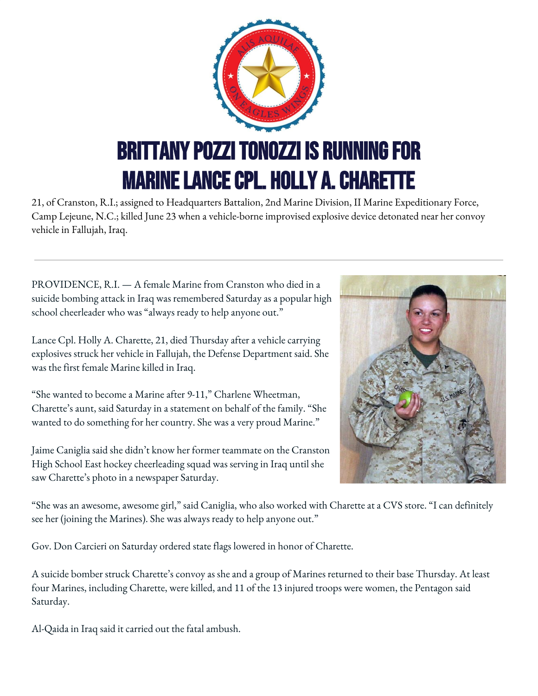

21, of Cranston, R.I.; assigned to Headquarters Battalion, 2nd Marine Division, II Marine Expeditionary Force, Camp Lejeune, N.C.; killed June 23 when a vehicle-borne improvised explosive device detonated near her convoy vehicle in Fallujah, Iraq.

PROVIDENCE, R.I. — A female Marine from Cranston who died in a suicide bombing attack in Iraq was remembered Saturday as a popular high school cheerleader who was "always ready to help anyone out."

Lance Cpl. Holly A. Charette, 21, died Thursday after a vehicle carrying explosives struck her vehicle in Fallujah, the Defense Department said. She was the first female Marine killed in Iraq.

"She wanted to become a Marine after 9-11," Charlene Wheetman, Charette's aunt, said Saturday in a statement on behalf of the family. "She wanted to do something for her country. She was a very proud Marine."

Jaime Caniglia said she didn't know her former teammate on the Cranston High School East hockey cheerleading squad was serving in Iraq until she saw Charette's photo in a newspaper Saturday.



"She was an awesome, awesome girl," said Caniglia, who also worked with Charette at a CVS store. "I can definitely see her (joining the Marines). She was always ready to help anyone out."

Gov. Don Carcieri on Saturday ordered state flags lowered in honor of Charette.

A suicide bomber struck Charette's convoy as she and a group of Marines returned to their base Thursday. At least four Marines, including Charette, were killed, and 11 of the 13 injured troops were women, the Pentagon said Saturday.

Al-Qaida in Iraq said it carried out the fatal ambush.